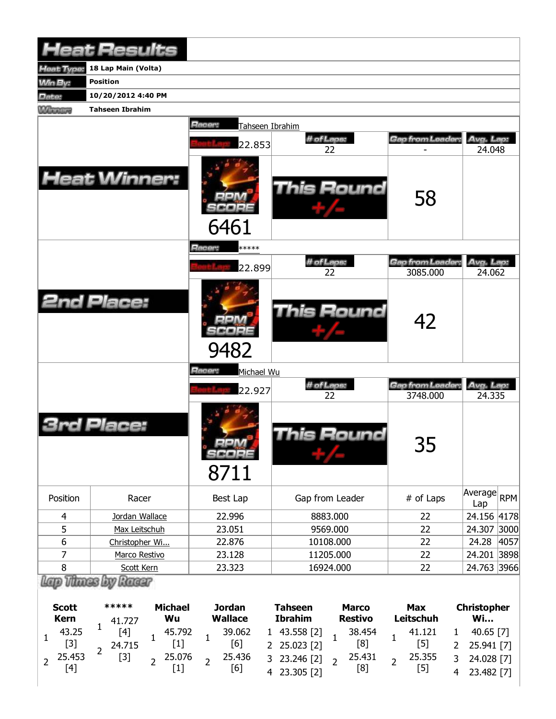|                | <b>Heat Results</b>    |                                     |                  |                              |                              |
|----------------|------------------------|-------------------------------------|------------------|------------------------------|------------------------------|
| Heat Type:     | 18 Lap Main (Volta)    |                                     |                  |                              |                              |
| <b>Min By:</b> | <b>Position</b>        |                                     |                  |                              |                              |
| Date:          | 10/20/2012 4:40 PM     |                                     |                  |                              |                              |
| <b>Winning</b> | <b>Tahseen Ibrahim</b> |                                     |                  |                              |                              |
|                |                        | Racer:<br>Tahseen Ibrahim<br>22.853 | # of Laps:<br>22 | Gap from Leader:             | Avg. Lap:<br>24.048          |
|                | <b>Heat Winner:</b>    | 6461                                | This Round       | 58                           |                              |
|                |                        | Racer:<br>*****                     |                  |                              |                              |
|                |                        |                                     | # of Laps:       | <b>Gap from Leader:</b>      | Avg. Lap:                    |
|                |                        | 22.899                              | 22               | 3085.000                     | 24.062                       |
|                | <b>2nd Place:</b>      | 9482                                | This Round       | 42                           |                              |
|                |                        | Racer:<br>Michael Wu                |                  |                              |                              |
|                |                        | 22.927                              | # of Laps:<br>22 | Gap from Leader:<br>3748.000 | Avg. Lap:<br>24.335          |
|                | Place:                 | $-14$<br>SCORE<br>8711              | This Round       | 35                           |                              |
| Position       | Racer                  | Best Lap                            | Gap from Leader  | # of Laps                    | Average<br><b>RPM</b><br>Lap |
| 4              | Jordan Wallace         | 22.996                              | 8883.000         | 22                           | 24.156 4178                  |
| 5              | Max Leitschuh          | 23.051                              | 9569.000         | 22                           | 24.307 3000                  |
| 6              | Christopher Wi         | 22.876                              | 10108.000        | 22                           | 24.28<br>4057                |
| 7              | Marco Restivo          | 23.128                              | 11205.000        | 22                           | 24.201 3898                  |
| 8              | Scott Kern             | 23.323                              | 16924.000        | 22                           | 24.763 3966                  |
|                | Lap Thues by Racer     |                                     |                  |                              |                              |

| <b>Scott</b><br><b>Kern</b> |        | ***** |        | <b>Michael</b> |        | <b>Jordan</b>  |        |                | <b>Tahseen</b> |                | <b>Marco</b> | Max       | <b>Christopher</b> |              |  |
|-----------------------------|--------|-------|--------|----------------|--------|----------------|--------|----------------|----------------|----------------|--------------|-----------|--------------------|--------------|--|
|                             |        |       | 41.727 | Wu             |        | <b>Wallace</b> |        | <b>Ibrahim</b> |                | <b>Restivo</b> |              | Leitschuh | <b>Wi</b>          |              |  |
|                             | 43.25  |       | [4]    |                | 45.792 |                | 39.062 | $\mathbf{1}$   | 43.558 [2]     |                | 38.454       | 41.121    |                    | 40.65 $[7]$  |  |
|                             | $[3]$  |       | 24.715 |                |        |                | [6]    |                | 2 25.023 [2]   |                | [8]          | [5]       |                    | 2 25.941 [7] |  |
|                             | 25.453 |       | $[3]$  |                | 25.076 |                | 25.436 |                | 3 23.246 [2]   |                | 25.431       | 25.355    |                    | 3 24.028 [7] |  |
|                             |        |       |        |                |        |                | [6]    |                | 23.305 [2]     |                | [8]          | $[5]$     |                    | 23.482 [7]   |  |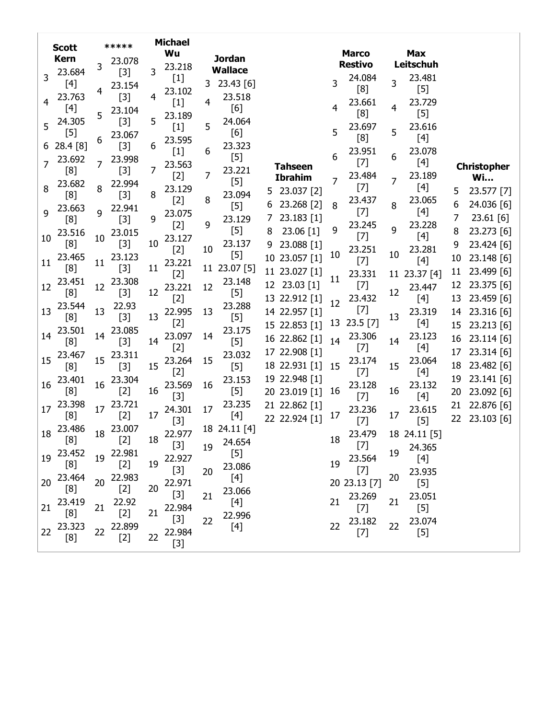|                | <b>Scott</b> |    | *****  |    | <b>Michael</b>                                                                                                                                                                                   |                |                |   |                |    |                 |    |                                                                                                                                                                                                          |    |                    |
|----------------|--------------|----|--------|----|--------------------------------------------------------------------------------------------------------------------------------------------------------------------------------------------------|----------------|----------------|---|----------------|----|-----------------|----|----------------------------------------------------------------------------------------------------------------------------------------------------------------------------------------------------------|----|--------------------|
|                | <b>Kern</b>  |    | 23.078 |    | Wu                                                                                                                                                                                               |                | <b>Jordan</b>  |   |                |    | <b>Marco</b>    |    | <b>Max</b>                                                                                                                                                                                               |    |                    |
|                | 23.684       | 3  | $[3]$  | 3  | 23.218                                                                                                                                                                                           |                | <b>Wallace</b> |   |                |    | <b>Restivo</b>  |    | Leitschuh                                                                                                                                                                                                |    |                    |
| 3              | [4]          |    | 23.154 |    | $[1] % \includegraphics[width=0.9\columnwidth]{figures/fig_1a} \caption{The figure shows the number of times on the right, and the number of times on the right, respectively.} \label{fig:1} %$ | 3              | 23.43 [6]      |   |                | 3  | 24.084          | 3  | 23.481                                                                                                                                                                                                   |    |                    |
|                | 23.763       | 4  | $[3]$  | 4  | 23.102                                                                                                                                                                                           |                | 23.518         |   |                |    | [8]             |    | $[5] % \includegraphics[width=0.9\columnwidth]{figures/fig_10.pdf} \caption{The figure shows the number of times, and the number of times, and the number of times, respectively.} \label{fig:fig:time}$ |    |                    |
| 4              | $[4]$        |    | 23.104 |    | $[1]$                                                                                                                                                                                            | $\overline{4}$ | [6]            |   |                | 4  | 23.661          | 4  | 23.729                                                                                                                                                                                                   |    |                    |
|                | 24.305       | 5  | $[3]$  | 5  | 23.189                                                                                                                                                                                           |                | 24.064         |   |                |    | [8]             |    | $[5]$                                                                                                                                                                                                    |    |                    |
| 5              | $[5]$        |    | 23.067 |    | $[1]$                                                                                                                                                                                            | 5              | [6]            |   |                | 5  | 23.697          | 5  | 23.616                                                                                                                                                                                                   |    |                    |
| 6              | 28.4 [8]     | 6  | $[3]$  | 6  | 23.595                                                                                                                                                                                           |                | 23.323         |   |                |    | [8]             |    | [4]                                                                                                                                                                                                      |    |                    |
|                | 23.692       |    | 23.998 |    | $[1]$                                                                                                                                                                                            | 6              | $[5]$          |   |                | 6  | 23.951          | 6  | 23.078                                                                                                                                                                                                   |    |                    |
| $\overline{7}$ | [8]          | 7  | $[3]$  | 7  | 23.563                                                                                                                                                                                           |                | 23.221         |   | <b>Tahseen</b> |    | $[7]$           |    | $[4]$                                                                                                                                                                                                    |    | <b>Christopher</b> |
|                | 23.682       |    | 22.994 |    | $[2]$                                                                                                                                                                                            | 7              | $[5]$          |   | <b>Ibrahim</b> | 7  | 23.484          | 7  | 23.189                                                                                                                                                                                                   |    | <b>Wi</b>          |
| 8              | [8]          | 8  | $[3]$  | 8  | 23.129                                                                                                                                                                                           |                | 23.094         |   | 5 23.037 [2]   |    | $[7]$           |    | [4]                                                                                                                                                                                                      | 5  | 23.577 [7]         |
|                | 23.663       |    | 22.941 |    | $[2]$                                                                                                                                                                                            | 8              | $[5]$          | 6 | 23.268 [2]     | 8  | 23.437          | 8  | 23.065                                                                                                                                                                                                   | 6  | 24.036 [6]         |
| 9              | [8]          | 9  | $[3]$  | 9  | 23.075                                                                                                                                                                                           |                | 23.129         | 7 | 23.183 [1]     |    | $[7]$           |    | $[4]$                                                                                                                                                                                                    | 7  | 23.61 [6]          |
|                | 23.516       |    | 23.015 |    | $[2]$                                                                                                                                                                                            | 9              | $[5]$          | 8 | 23.06 [1]      | 9  | 23.245          | 9  | 23.228                                                                                                                                                                                                   | 8  | 23.273 [6]         |
| 10             | [8]          | 10 | $[3]$  | 10 | 23.127                                                                                                                                                                                           |                | 23.137         | 9 | 23.088 [1]     |    | $[7]$           |    | $[4]$                                                                                                                                                                                                    | 9  | 23.424 [6]         |
|                | 23.465       |    | 23.123 |    | $[2]$                                                                                                                                                                                            | 10             | $[5]$          |   | 10 23.057 [1]  | 10 | 23.251          | 10 | 23.281                                                                                                                                                                                                   | 10 | 23.148 [6]         |
| 11             | [8]          | 11 | $[3]$  | 11 | 23.221                                                                                                                                                                                           |                | 11 23.07 [5]   |   | 11 23.027 [1]  |    | $[7]$           |    | $[4]$                                                                                                                                                                                                    | 11 | 23.499 [6]         |
|                | 23.451       |    | 23.308 |    | $[2]$                                                                                                                                                                                            |                | 23.148         |   | 12 23.03 [1]   | 11 | 23.331          |    | 11 23.37 [4]                                                                                                                                                                                             | 12 | 23.375 [6]         |
| 12             | [8]          | 12 | $[3]$  | 12 | 23.221                                                                                                                                                                                           | 12             | $[5]$          |   |                |    | $[7]$           | 12 | 23.447                                                                                                                                                                                                   |    |                    |
|                | 23.544       |    | 22.93  |    | $[2]$                                                                                                                                                                                            |                | 23.288         |   | 13 22.912 [1]  | 12 | 23.432<br>$[7]$ |    | $[4]$                                                                                                                                                                                                    | 13 | 23.459 [6]         |
| 13             | [8]          | 13 | $[3]$  | 13 | 22.995                                                                                                                                                                                           | 13             | $[5]$          |   | 14 22.957 [1]  |    |                 | 13 | 23.319                                                                                                                                                                                                   | 14 | 23.316 [6]         |
|                | 23.501       |    | 23.085 |    | $[2]$                                                                                                                                                                                            |                | 23.175         |   | 15 22.853 [1]  | 13 | $23.5$ [7]      |    | [4]                                                                                                                                                                                                      | 15 | 23.213 [6]         |
| 14             | [8]          | 14 | $[3]$  | 14 | 23.097                                                                                                                                                                                           | 14             | $[5]$          |   | 16 22.862 [1]  | 14 | 23.306          | 14 | 23.123                                                                                                                                                                                                   | 16 | 23.114 [6]         |
|                | 23.467       | 15 | 23.311 |    | $[2]$                                                                                                                                                                                            |                | 23.032         |   | 17 22.908 [1]  |    | $[7]$           |    | $[4]$                                                                                                                                                                                                    | 17 | 23.314 [6]         |
| 15             | [8]          |    | $[3]$  | 15 | 23.264<br>$[2]$                                                                                                                                                                                  | 15             | $[5]$          |   | 18 22.931 [1]  | 15 | 23.174          | 15 | 23.064                                                                                                                                                                                                   | 18 | 23.482 [6]         |
| 16             | 23.401       | 16 | 23.304 |    |                                                                                                                                                                                                  | 16             | 23.153         |   | 19 22.948 [1]  |    | $[7]$           |    | [4]<br>23.132                                                                                                                                                                                            | 19 | 23.141 [6]         |
|                | [8]          |    | $[2]$  | 16 | 23.569<br>$[3]$                                                                                                                                                                                  |                | $[5]$          |   | 20 23.019 [1]  | 16 | 23.128<br>$[7]$ | 16 | $[4]$                                                                                                                                                                                                    | 20 | 23.092 [6]         |
| 17             | 23.398       | 17 | 23.721 |    | 24.301                                                                                                                                                                                           | 17             | 23.235         |   | 21 22.862 [1]  |    | 23.236          |    | 23.615                                                                                                                                                                                                   | 21 | 22.876 [6]         |
|                | [8]          |    | $[2]$  | 17 | $[3]$                                                                                                                                                                                            |                | $[4]$          |   | 22 22.924 [1]  | 17 | $[7]$           | 17 | $[5]$                                                                                                                                                                                                    | 22 | 23.103 [6]         |
| 18             | 23.486       | 18 | 23.007 |    | 22.977                                                                                                                                                                                           |                | 18 24.11 [4]   |   |                |    | 23.479          |    | 18 24.11 [5]                                                                                                                                                                                             |    |                    |
|                | [8]          |    | $[2]$  | 18 | $[3]$                                                                                                                                                                                            |                | 24.654         |   |                | 18 | $[7]$           |    |                                                                                                                                                                                                          |    |                    |
| 19             | 23.452       | 19 | 22.981 |    | 22.927                                                                                                                                                                                           | 19             | $[5]$          |   |                |    | 23.564          | 19 | 24.365                                                                                                                                                                                                   |    |                    |
|                | [8]          |    | $[2]$  | 19 | $[3]$                                                                                                                                                                                            | 20             | 23.086         |   |                | 19 | $[7]$           |    | $[4]$                                                                                                                                                                                                    |    |                    |
| 20             | 23.464       | 20 | 22.983 |    | 22.971                                                                                                                                                                                           |                | $[4]$          |   |                |    |                 | 20 | 23.935                                                                                                                                                                                                   |    |                    |
|                | [8]          |    | $[2]$  | 20 | $[3]$                                                                                                                                                                                            |                | 23.066         |   |                |    | 20 23.13 [7]    |    | $[5]$                                                                                                                                                                                                    |    |                    |
| 21             | 23.419       | 21 | 22.92  |    | 22.984                                                                                                                                                                                           | 21             | $[4]$          |   |                | 21 | 23.269<br>$[7]$ | 21 | 23.051                                                                                                                                                                                                   |    |                    |
|                | [8]          |    | $[2]$  | 21 | $[3]$                                                                                                                                                                                            | 22             | 22.996         |   |                |    |                 |    | $[5]$                                                                                                                                                                                                    |    |                    |
| 22             | 23.323       | 22 | 22.899 |    | 22.984                                                                                                                                                                                           |                | $[4]$          |   |                | 22 | 23.182<br>$[7]$ | 22 | 23.074<br>$[5]$                                                                                                                                                                                          |    |                    |
|                | [8]          |    | $[2]$  | 22 | $[3]$                                                                                                                                                                                            |                |                |   |                |    |                 |    |                                                                                                                                                                                                          |    |                    |
|                |              |    |        |    |                                                                                                                                                                                                  |                |                |   |                |    |                 |    |                                                                                                                                                                                                          |    |                    |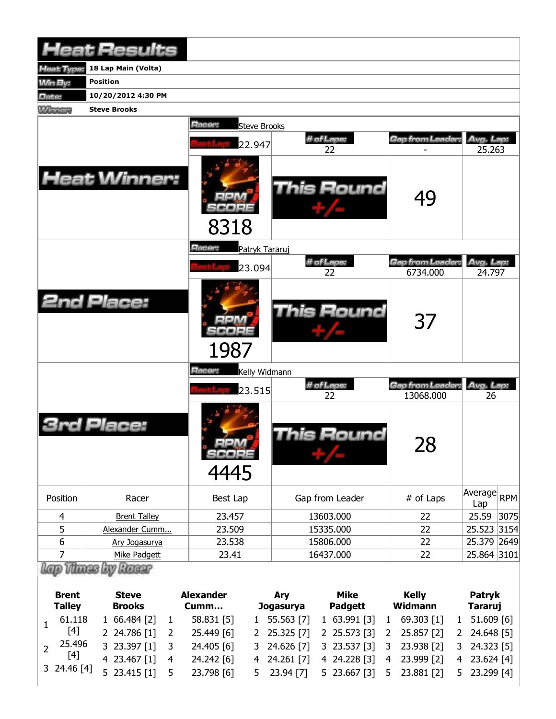|                | <b>Heat Results</b> |                               |                   |                              |                     |
|----------------|---------------------|-------------------------------|-------------------|------------------------------|---------------------|
| leat Type:     | 18 Lap Main (Volta) |                               |                   |                              |                     |
| Win By:        | <b>Position</b>     |                               |                   |                              |                     |
| Date:          | 10/20/2012 4:30 PM  |                               |                   |                              |                     |
| <b>Winning</b> | <b>Steve Brooks</b> |                               |                   |                              |                     |
|                |                     | Racer:<br><b>Steve Brooks</b> |                   |                              |                     |
|                |                     | 22.947                        | # of Laps:<br>22  | Gap from Leader:             | Avg. Lap:<br>25.263 |
|                | <b>Heat Winner:</b> | 8318                          | <b>This Round</b> | 49                           |                     |
|                |                     | Racer:<br>Patryk Tararuj      |                   |                              |                     |
|                |                     | 23.094                        | # of Laps:<br>22  | Gap from Leader:<br>6734.000 | Avg. Lap:<br>24.797 |
|                | <b>2nd Place:</b>   | 1987                          | This Round        | 37                           |                     |
|                |                     | Racer:<br>Kelly Widmann       |                   |                              |                     |
|                |                     | 23.515                        | # of Laps:        | Gap from Leader.             | Avg. Lap:           |
|                |                     |                               | 22                | 13068.000                    | 26                  |
|                | Place:              | SCORE<br>$\frac{1}{4445}$     | This Round        | 28                           |                     |
| Position       | Racer               | Best Lap                      | Gap from Leader   | # of Laps                    | Average RPM<br>Lap  |
| 4              | <b>Brent Talley</b> | 23.457                        | 13603.000         | 22                           | 3075<br>25.59       |
| 5              | Alexander Cumm      | 23.509                        | 15335.000         | 22                           | 25.523 3154         |
| 6              | Ary Jogasurya       | 23.538                        | 15806.000         | 22                           | 25.379 2649         |
| $\overline{7}$ | Mike Padgett        | 23.41                         | 16437.000         | 22                           | 25.864 3101         |
|                | Thues by Racar      |                               |                   |                              |                     |

| <b>Brent</b><br><b>Talley</b> | <b>Steve</b><br><b>Brooks</b> |                | <b>Alexander</b><br>Cumm | <b>Arv</b><br>Jogasurya | Mike<br><b>Padgett</b>    |                | <b>Kelly</b><br>Widmann | Patryk<br>Tararuj |
|-------------------------------|-------------------------------|----------------|--------------------------|-------------------------|---------------------------|----------------|-------------------------|-------------------|
| 61.118                        | 1, 66.484 [2]                 |                | 58.831 [5]               | 1 55.563 [7]            | $1, 63.991$ [3]           | 1              | 69.303 [1]              | 1 51.609 [6]      |
| $[4]$                         | 2 24.786 [1]                  |                | 25.449 [6]               | 2 25.325 [7]            | 2 25.573 [3]              | $\overline{2}$ | 25.857 [2]              | 2 24.648 [5]      |
| 25.496                        | 3 23.397 [1]                  |                | 24.405 [6]               | 3 24.626 [7]            | 3 23.537 [3] 3 23.938 [2] |                |                         | $3$ 24.323 [5]    |
| [4]                           | 4 23.467 [1]                  | $\overline{4}$ | 24.242 [6]               | 4 24.261 [7]            | 4 24.228 [3] 4 23.999 [2] |                |                         | 4 23.624 [4]      |
| 3 24.46 [4]                   | 5 23.415 $[1]$                |                | 23.798 [6]               | 5 23.94 [7]             | 5 23.667 [3]              |                | 5 23.881 [2]            | 5 23.299 [4]      |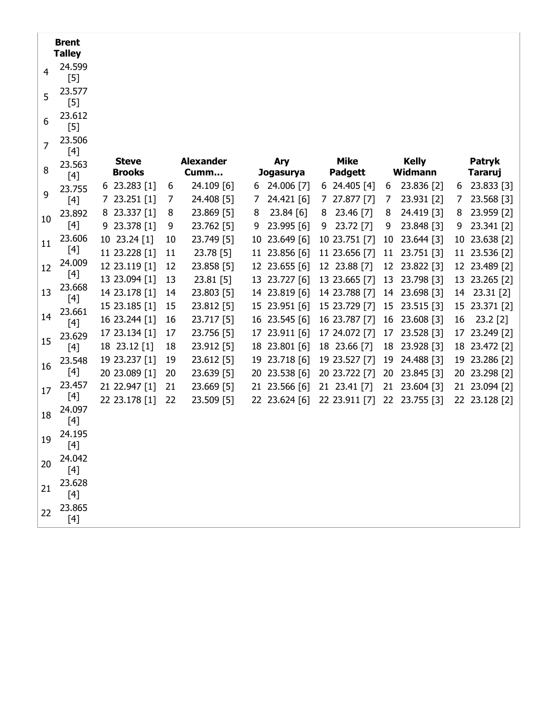|    | <b>Brent</b><br><b>Talley</b> |                               |    |                          |    |                  |                               |    |                                |    |                          |
|----|-------------------------------|-------------------------------|----|--------------------------|----|------------------|-------------------------------|----|--------------------------------|----|--------------------------|
| 4  | 24.599<br>$[5]$               |                               |    |                          |    |                  |                               |    |                                |    |                          |
| 5  | 23.577<br>$[5]$               |                               |    |                          |    |                  |                               |    |                                |    |                          |
| 6  | 23.612<br>$[5]$               |                               |    |                          |    |                  |                               |    |                                |    |                          |
| 7  | 23.506<br>$[4]$               |                               |    |                          |    |                  |                               |    |                                |    |                          |
| 8  | 23.563                        | <b>Steve</b><br><b>Brooks</b> |    | <b>Alexander</b><br>Cumm |    | Ary<br>Jogasurya | <b>Mike</b><br><b>Padgett</b> |    | <b>Kelly</b><br><b>Widmann</b> |    | Patryk<br><b>Tararuj</b> |
|    | $[4]$<br>23.755               | 6 23.283 [1]                  | 6  | 24.109 [6]               | 6  | 24.006 [7]       | $6$ 24.405 [4]                | 6  | 23.836 [2]                     | 6  | 23.833 [3]               |
| 9  | $[4]$                         | 7 23.251 [1]                  | 7  | 24.408 [5]               | 7  | 24.421 [6]       | 7 27.877 [7]                  | 7  | 23.931 [2]                     | 7  | 23.568 [3]               |
|    | 23.892                        | 8 23.337 [1]                  | 8  | 23.869 [5]               | 8  | 23.84 [6]        | 23.46 [7]<br>8                | 8  | 24.419 [3]                     | 8  | 23.959 [2]               |
| 10 | $[4]$                         | 9 23.378 [1]                  | 9  | 23.762 [5]               | 9  | 23.995 [6]       | 23.72 [7]<br>9                | 9  | 23.848 [3]                     | 9  | 23.341 [2]               |
| 11 | 23.606                        | 10 23.24 [1]                  | 10 | 23.749 [5]               | 10 | 23.649 [6]       | 10 23.751 [7]                 | 10 | 23.644 [3]                     | 10 | 23.638 [2]               |
|    | [4]                           | 11 23.228 [1]                 | 11 | 23.78 [5]                |    | 11 23.856 [6]    | 11 23.656 [7]                 | 11 | 23.751 [3]                     |    | 11 23.536 [2]            |
| 12 | 24.009<br>[4]                 | 12 23.119 [1]                 | 12 | 23.858 [5]               |    | 12 23.655 [6]    | 12 23.88 [7]                  | 12 | 23.822 [3]                     |    | 12 23.489 [2]            |
|    | 23.668                        | 13 23.094 [1]                 | 13 | 23.81 [5]                |    | 13 23.727 [6]    | 13 23.665 [7]                 | 13 | 23.798 [3]                     |    | 13 23.265 [2]            |
| 13 | $[4]$                         | 14 23.178 [1]                 | 14 | 23.803 [5]               |    | 14 23.819 [6]    | 14 23.788 [7]                 | 14 | 23.698 [3]                     |    | 14 23.31 [2]             |
|    | 23.661                        | 15 23.185 [1]                 | 15 | 23.812 [5]               |    | 15 23.951 [6]    | 15 23.729 [7]                 | 15 | 23.515 [3]                     | 15 | 23.371 [2]               |
| 14 | $[4]$                         | 16 23.244 [1]                 | 16 | 23.717 [5]               | 16 | 23.545 [6]       | 16 23.787 [7]                 | 16 | 23.608 [3]                     | 16 | $23.2$ [2]               |
| 15 | 23.629                        | 17 23.134 [1]                 | 17 | 23.756 [5]               |    | 17 23.911 [6]    | 17 24.072 [7]                 | 17 | 23.528 [3]                     | 17 | 23.249 [2]               |
|    | $[4]$                         | 18 23.12 [1]                  | 18 | 23.912 [5]               |    | 18 23.801 [6]    | 18 23.66 [7]                  | 18 | 23.928 [3]                     |    | 18 23.472 [2]            |
| 16 | 23.548                        | 19 23.237 [1]                 | 19 | 23.612 [5]               |    | 19 23.718 [6]    | 19 23.527 [7]                 | 19 | 24.488 [3]                     | 19 | 23.286 [2]               |
|    | $[4]$                         | 20 23.089 [1]                 | 20 | 23.639 [5]               | 20 | 23.538 [6]       | 20 23.722 [7]                 | 20 | 23.845 [3]                     | 20 | 23.298 [2]               |
| 17 | 23.457                        | 21 22.947 [1]                 | 21 | 23.669 [5]               |    | 21 23.566 [6]    | 21 23.41 [7]                  | 21 | 23.604 [3]                     |    | 21 23.094 [2]            |
|    | $[4]$<br>24.097               | 22 23.178 [1]                 | 22 | 23.509 [5]               |    | 22 23.624 [6]    | 22 23.911 [7]                 | 22 | 23.755 [3]                     |    | 22 23.128 [2]            |
| 18 | $[4]$                         |                               |    |                          |    |                  |                               |    |                                |    |                          |
| 19 | 24.195<br>[4]                 |                               |    |                          |    |                  |                               |    |                                |    |                          |
| 20 | 24.042<br>$[4]$               |                               |    |                          |    |                  |                               |    |                                |    |                          |
| 21 | 23.628<br>$[4]$               |                               |    |                          |    |                  |                               |    |                                |    |                          |
| 22 | 23.865<br>$[4]$               |                               |    |                          |    |                  |                               |    |                                |    |                          |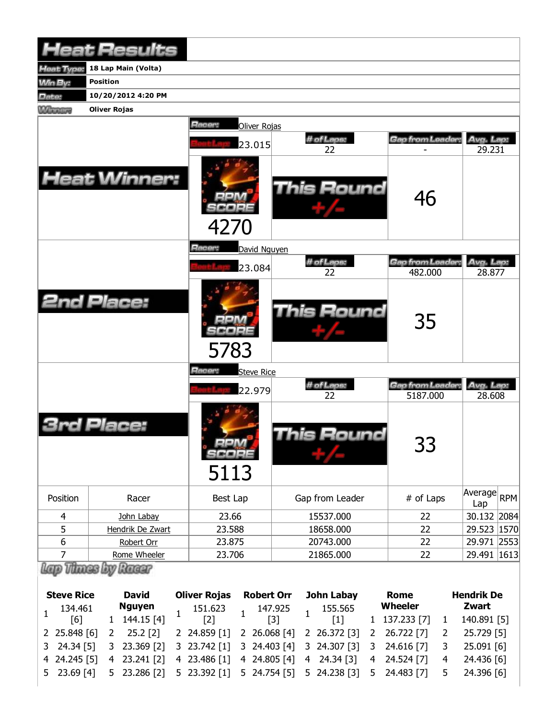|                | <b>Heat Results</b> |                             |                  |                             |                     |
|----------------|---------------------|-----------------------------|------------------|-----------------------------|---------------------|
| leat Type:     | 18 Lap Main (Volta) |                             |                  |                             |                     |
| Win By:        | <b>Position</b>     |                             |                  |                             |                     |
| Date:          | 10/20/2012 4:20 PM  |                             |                  |                             |                     |
| <b>Winning</b> | <b>Oliver Rojas</b> |                             |                  |                             |                     |
|                |                     | Racer:<br>Oliver Rojas      |                  |                             |                     |
|                |                     | 23.015                      | # of Laps:<br>22 | Gap from Leader:            | Avg. Lap:<br>29.231 |
|                | <b>Heat Winner:</b> | 4270                        | This Round       | 46                          |                     |
|                |                     | Racer:<br>David Nguyen      |                  |                             |                     |
|                |                     | 23.084                      | # of Laps:       | Gap from Leader.            | Avg. Lap:           |
|                |                     |                             | 22               | 482.000                     | 28.877              |
|                | <b>2nd Place:</b>   | 5783                        | This Round       | 35                          |                     |
|                |                     | Racer:<br><b>Steve Rice</b> |                  |                             |                     |
|                |                     | 22.979                      | # of Laps:<br>22 | Gap from Leader<br>5187.000 | Avg. Lap:<br>28,608 |
|                | Place:              | SCOPE<br>5113               | This Round       | つつ<br><u>55</u>             |                     |
| Position       | Racer               | Best Lap                    | Gap from Leader  | # of Laps                   | Average RPM<br>Lap  |
| 4              | John Labay          | 23.66                       | 15537.000        | 22                          | 30.132 2084         |
| 5              | Hendrik De Zwart    | 23.588                      | 18658.000        | 22                          | 29.523 1570         |
| 6              | Robert Orr          | 23.875                      | 20743.000        | 22                          | 29.971 2553         |
| $\overline{7}$ | Rome Wheeler        | 23.706                      | 21865.000        | 22                          | 29.491   1613       |
|                | Thues by Racar      |                             |                  |                             |                     |

| <b>Steve Rice</b> |              | <b>David</b>                                                                                                                   |                                                                              | <b>Oliver Rojas Robert Orr</b> |  |  |  | John Labay |  |  | Rome                                                                           | <b>Hendrik De</b> |              |  |  |
|-------------------|--------------|--------------------------------------------------------------------------------------------------------------------------------|------------------------------------------------------------------------------|--------------------------------|--|--|--|------------|--|--|--------------------------------------------------------------------------------|-------------------|--------------|--|--|
|                   |              | Nguyen<br>134.461 <b>Nguyen</b> 151.623 147.925 155.565<br>[6] 1 144.15 [4] <sup>1</sup> [2] <sup>1</sup> [3] <sup>1</sup> [1] |                                                                              |                                |  |  |  |            |  |  | Wheeler                                                                        |                   | Zwart        |  |  |
|                   |              |                                                                                                                                |                                                                              |                                |  |  |  |            |  |  | 1 137.233 [7] 1                                                                |                   | 140.891 [5]  |  |  |
|                   | 2 25.848 [6] |                                                                                                                                |                                                                              |                                |  |  |  |            |  |  | 2 25.2 [2] 2 24.859 [1] 2 26.068 [4] 2 26.372 [3] 2 26.722 [7]                 | 2                 | 25.729 [5]   |  |  |
|                   |              |                                                                                                                                |                                                                              |                                |  |  |  |            |  |  | 3 24.34 [5] 3 23.369 [2] 3 23.742 [1] 3 24.403 [4] 3 24.307 [3] 3 24.616 [7] 3 |                   | 25.091 [6]   |  |  |
|                   |              |                                                                                                                                | 4 24.245 [5] 4 23.241 [2] 4 23.486 [1] 4 24.805 [4] 4 24.34 [3] 4 24.524 [7] |                                |  |  |  |            |  |  |                                                                                |                   | 4 24.436 [6] |  |  |
|                   |              |                                                                                                                                |                                                                              |                                |  |  |  |            |  |  | 5 23.69 [4] 5 23.286 [2] 5 23.392 [1] 5 24.754 [5] 5 24.238 [3] 5 24.483 [7]   | 5                 | 24.396 [6]   |  |  |